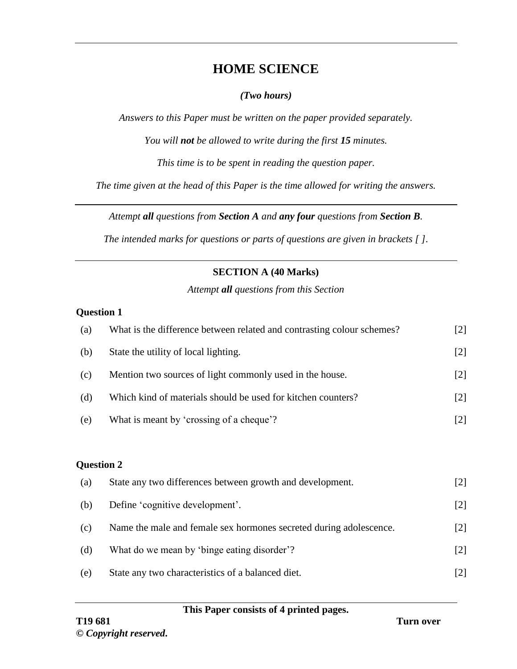# **HOME SCIENCE**

### *(Two hours)*

*Answers to this Paper must be written on the paper provided separately.*

*You will not be allowed to write during the first 15 minutes.*

*This time is to be spent in reading the question paper.*

*The time given at the head of this Paper is the time allowed for writing the answers.*

*Attempt all questions from Section A and any four questions from Section B.*

*The intended marks for questions or parts of questions are given in brackets [ ].*

## **SECTION A (40 Marks)**

*Attempt all questions from this Section*

#### **Question 1**

| (a) | What is the difference between related and contrasting colour schemes? | $[2]$             |  |  |
|-----|------------------------------------------------------------------------|-------------------|--|--|
| (b) | State the utility of local lighting.                                   | $[2]$             |  |  |
| (c) | Mention two sources of light commonly used in the house.               | $[2]$             |  |  |
| (d) | Which kind of materials should be used for kitchen counters?           | $[2]$             |  |  |
| (e) | What is meant by 'crossing of a cheque'?                               | $[2]$             |  |  |
|     |                                                                        |                   |  |  |
|     | <b>Question 2</b>                                                      |                   |  |  |
| (a) | State any two differences between growth and development.              | $[2]$             |  |  |
| (b) | Define 'cognitive development'.                                        | $[2]$             |  |  |
| (c) | Name the male and female sex hormones secreted during adolescence.     | $[2]$             |  |  |
| (d) | What do we mean by 'binge eating disorder'?                            | $\left[ 2\right]$ |  |  |

(e) State any two characteristics of a balanced diet. [2]

#### **This Paper consists of 4 printed pages.**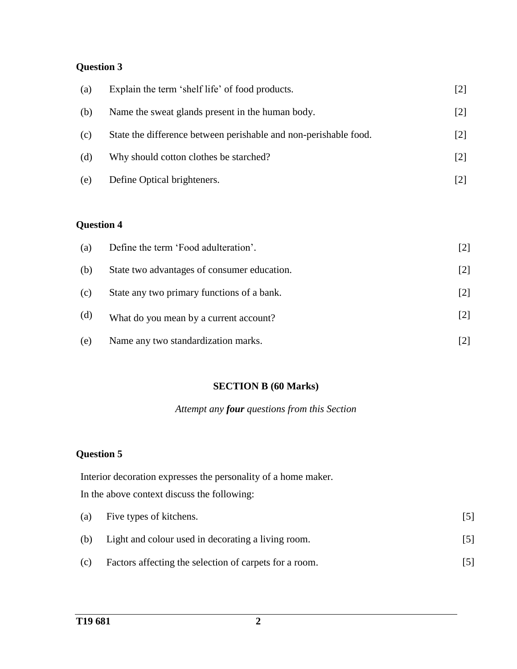# **Question 3**

| (a) | Explain the term 'shelf life' of food products.                  | [2]               |
|-----|------------------------------------------------------------------|-------------------|
| (b) | Name the sweat glands present in the human body.                 | $[2]$             |
| (c) | State the difference between perishable and non-perishable food. | $[2]$             |
| (d) | Why should cotton clothes be starched?                           | $\lceil 2 \rceil$ |
| (e) | Define Optical brighteners.                                      | $[2]$             |

# **Question 4**

| (a) | Define the term 'Food adulteration'.        | $[2]$             |
|-----|---------------------------------------------|-------------------|
| (b) | State two advantages of consumer education. | $\lceil 2 \rceil$ |
| (c) | State any two primary functions of a bank.  | $[2]$             |
| (d) | What do you mean by a current account?      | $[2]$             |
| (e) | Name any two standardization marks.         |                   |

#### **SECTION B (60 Marks)**

#### *Attempt any four questions from this Section*

# **Question 5**

Interior decoration expresses the personality of a home maker. In the above context discuss the following:

|     | (a) Five types of kitchens.                            |     |
|-----|--------------------------------------------------------|-----|
| (b) | Light and colour used in decorating a living room.     | [5] |
| (c) | Factors affecting the selection of carpets for a room. |     |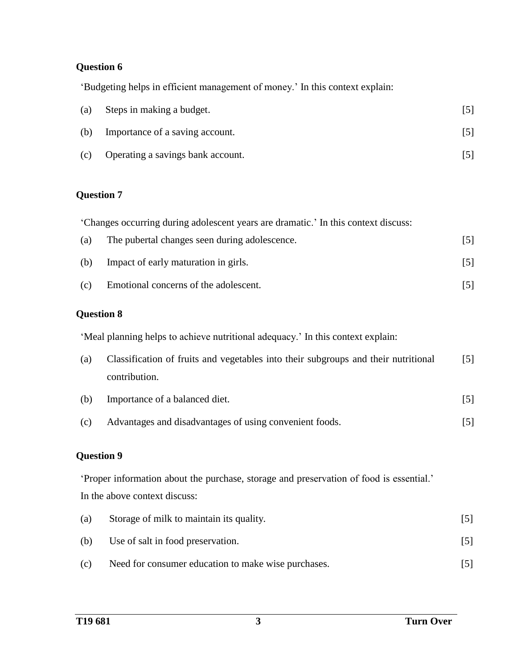#### **Question 6**

'Budgeting helps in efficient management of money.' In this context explain:

| (a) | Steps in making a budget.         |  |
|-----|-----------------------------------|--|
| (b) | Importance of a saving account.   |  |
| (c) | Operating a savings bank account. |  |

### **Question 7**

'Changes occurring during adolescent years are dramatic.' In this context discuss:

| $\left( a\right)$ | The pubertal changes seen during adolescence. |  |
|-------------------|-----------------------------------------------|--|
| (b)               | Impact of early maturation in girls.          |  |

(c) Emotional concerns of the adolescent. [5]

### **Question 8**

'Meal planning helps to achieve nutritional adequacy.' In this context explain:

| (a) | Classification of fruits and vegetables into their subgroups and their nutritional | $\lceil 5 \rceil$ |
|-----|------------------------------------------------------------------------------------|-------------------|
|     | contribution.                                                                      |                   |

- (b) Importance of a balanced diet. [5]
- (c) Advantages and disadvantages of using convenient foods. [5]

## **Question 9**

'Proper information about the purchase, storage and preservation of food is essential.' In the above context discuss:

| (a) | Storage of milk to maintain its quality.            |  |
|-----|-----------------------------------------------------|--|
| (b) | Use of salt in food preservation.                   |  |
| (c) | Need for consumer education to make wise purchases. |  |